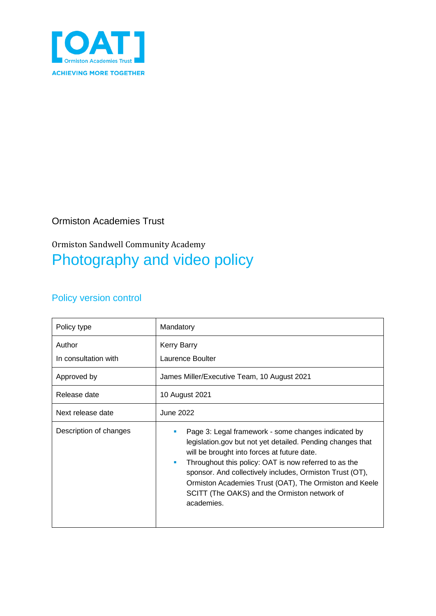

#### Ormiston Academies Trust

#### Ormiston Sandwell Community Academy Photography and video policy

#### Policy version control

| Policy type                    | Mandatory                                                                                                                                                                                                                                                                                                                                                                                                                                         |
|--------------------------------|---------------------------------------------------------------------------------------------------------------------------------------------------------------------------------------------------------------------------------------------------------------------------------------------------------------------------------------------------------------------------------------------------------------------------------------------------|
| Author<br>In consultation with | <b>Kerry Barry</b><br>Laurence Boulter                                                                                                                                                                                                                                                                                                                                                                                                            |
| Approved by                    | James Miller/Executive Team, 10 August 2021                                                                                                                                                                                                                                                                                                                                                                                                       |
| Release date                   | 10 August 2021                                                                                                                                                                                                                                                                                                                                                                                                                                    |
| Next release date              | June 2022                                                                                                                                                                                                                                                                                                                                                                                                                                         |
| Description of changes         | Page 3: Legal framework - some changes indicated by<br>$\blacksquare$<br>legislation.gov but not yet detailed. Pending changes that<br>will be brought into forces at future date.<br>Throughout this policy: OAT is now referred to as the<br>$\blacksquare$<br>sponsor. And collectively includes, Ormiston Trust (OT),<br>Ormiston Academies Trust (OAT), The Ormiston and Keele<br>SCITT (The OAKS) and the Ormiston network of<br>academies. |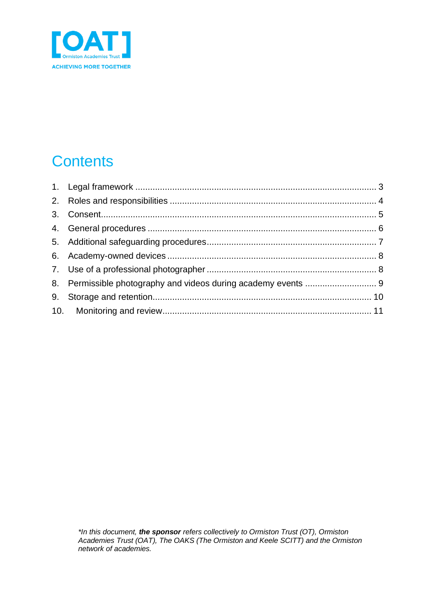

# **Contents**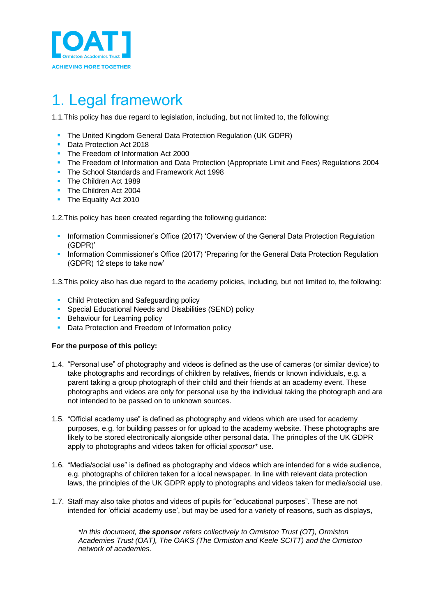

# <span id="page-2-0"></span>1. Legal framework

1.1.This policy has due regard to legislation, including, but not limited to, the following:

- The United Kingdom General Data Protection Regulation (UK GDPR)
- Data Protection Act 2018
- The Freedom of Information Act 2000
- **The Freedom of Information and Data Protection (Appropriate Limit and Fees) Regulations 2004**
- The School Standards and Framework Act 1998
- The Children Act 1989
- **· The Children Act 2004**
- **The Equality Act 2010**

1.2.This policy has been created regarding the following guidance:

- Information Commissioner's Office (2017) 'Overview of the General Data Protection Regulation (GDPR)'
- Information Commissioner's Office (2017) 'Preparing for the General Data Protection Regulation (GDPR) 12 steps to take now'

1.3.This policy also has due regard to the academy policies, including, but not limited to, the following:

- Child Protection and Safeguarding policy
- **Special Educational Needs and Disabilities (SEND) policy**
- **E** Behaviour for Learning policy
- Data Protection and Freedom of Information policy

#### **For the purpose of this policy:**

- 1.4. "Personal use" of photography and videos is defined as the use of cameras (or similar device) to take photographs and recordings of children by relatives, friends or known individuals, e.g. a parent taking a group photograph of their child and their friends at an academy event. These photographs and videos are only for personal use by the individual taking the photograph and are not intended to be passed on to unknown sources.
- 1.5. "Official academy use" is defined as photography and videos which are used for academy purposes, e.g. for building passes or for upload to the academy website. These photographs are likely to be stored electronically alongside other personal data. The principles of the UK GDPR apply to photographs and videos taken for official *sponsor\** use.
- 1.6. "Media/social use" is defined as photography and videos which are intended for a wide audience, e.g. photographs of children taken for a local newspaper. In line with relevant data protection laws, the principles of the UK GDPR apply to photographs and videos taken for media/social use.
- 1.7. Staff may also take photos and videos of pupils for "educational purposes". These are not intended for 'official academy use', but may be used for a variety of reasons, such as displays,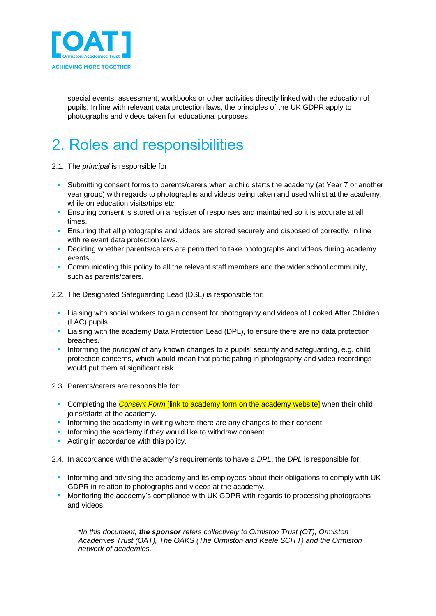

special events, assessment, workbooks or other activities directly linked with the education of pupils. In line with relevant data protection laws, the principles of the UK GDPR apply to photographs and videos taken for educational purposes.

## <span id="page-3-0"></span>2. Roles and responsibilities

2.1. The *principal* is responsible for:

- **Submitting consent forms to parents/carers when a child starts the academy (at Year 7 or another** year group) with regards to photographs and videos being taken and used whilst at the academy, while on education visits/trips etc.
- **E** Ensuring consent is stored on a register of responses and maintained so it is accurate at all times.
- **Ensuring that all photographs and videos are stored securely and disposed of correctly, in line** with relevant data protection laws.
- **•** Deciding whether parents/carers are permitted to take photographs and videos during academy events.
- **Communicating this policy to all the relevant staff members and the wider school community,** such as parents/carers.
- 2.2. The Designated Safeguarding Lead (DSL) is responsible for:
	- **EXTENDING With social workers to gain consent for photography and videos of Looked After Children** (LAC) pupils.
	- **EXTE:** Liaising with the academy Data Protection Lead (DPL), to ensure there are no data protection breaches.
	- **EXTERN** Informing the *principal* of any known changes to a pupils' security and safeguarding, e.g. child protection concerns, which would mean that participating in photography and video recordings would put them at significant risk.
- 2.3. Parents/carers are responsible for:
	- **Completing the** *Consent Form* **[link to academy form on the academy website]** when their child joins/starts at the academy.
	- Informing the academy in writing where there are any changes to their consent.
	- **.** Informing the academy if they would like to withdraw consent.
	- Acting in accordance with this policy.
- 2.4. In accordance with the academy's requirements to have a *DPL*, the *DPL* is responsible for:
	- Informing and advising the academy and its employees about their obligations to comply with UK GDPR in relation to photographs and videos at the academy.
	- Monitoring the academy's compliance with UK GDPR with regards to processing photographs and videos.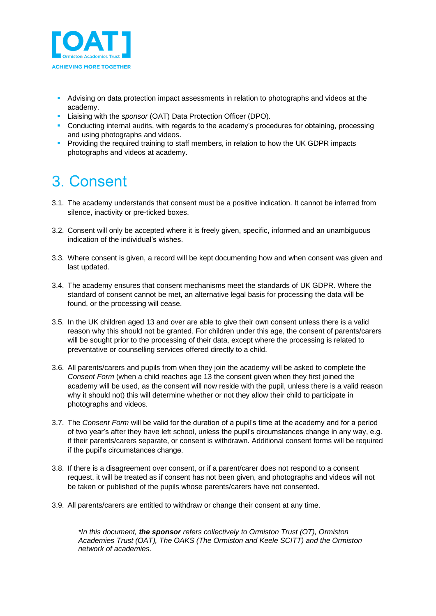

- **EXECT** Advising on data protection impact assessments in relation to photographs and videos at the academy.
- Liaising with the *sponsor* (OAT) Data Protection Officer (DPO).
- Conducting internal audits, with regards to the academy's procedures for obtaining, processing and using photographs and videos.
- **Providing the required training to staff members, in relation to how the UK GDPR impacts** photographs and videos at academy.

## <span id="page-4-0"></span>3. Consent

- 3.1. The academy understands that consent must be a positive indication. It cannot be inferred from silence, inactivity or pre-ticked boxes.
- 3.2. Consent will only be accepted where it is freely given, specific, informed and an unambiguous indication of the individual's wishes.
- 3.3. Where consent is given, a record will be kept documenting how and when consent was given and last updated.
- 3.4. The academy ensures that consent mechanisms meet the standards of UK GDPR. Where the standard of consent cannot be met, an alternative legal basis for processing the data will be found, or the processing will cease.
- 3.5. In the UK children aged 13 and over are able to give their own consent unless there is a valid reason why this should not be granted. For children under this age, the consent of parents/carers will be sought prior to the processing of their data, except where the processing is related to preventative or counselling services offered directly to a child.
- 3.6. All parents/carers and pupils from when they join the academy will be asked to complete the *Consent Form* (when a child reaches age 13 the consent given when they first joined the academy will be used, as the consent will now reside with the pupil, unless there is a valid reason why it should not) this will determine whether or not they allow their child to participate in photographs and videos.
- 3.7. The *Consent Form* will be valid for the duration of a pupil's time at the academy and for a period of two year's after they have left school, unless the pupil's circumstances change in any way, e.g. if their parents/carers separate, or consent is withdrawn. Additional consent forms will be required if the pupil's circumstances change.
- 3.8. If there is a disagreement over consent, or if a parent/carer does not respond to a consent request, it will be treated as if consent has not been given, and photographs and videos will not be taken or published of the pupils whose parents/carers have not consented.
- 3.9. All parents/carers are entitled to withdraw or change their consent at any time.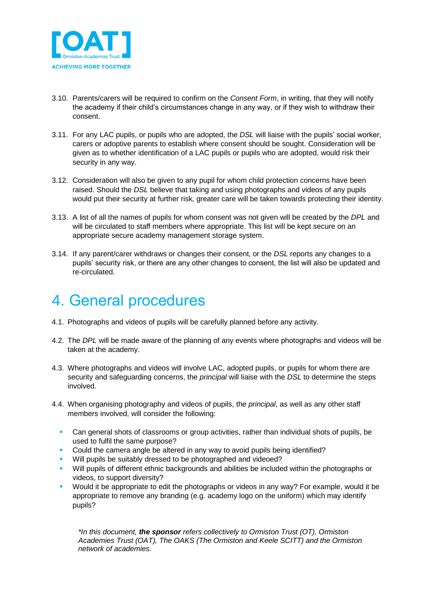

- 3.10. Parents/carers will be required to confirm on the *Consent Form*, in writing, that they will notify the academy if their child's circumstances change in any way, or if they wish to withdraw their consent.
- 3.11. For any LAC pupils, or pupils who are adopted, the *DSL* will liaise with the pupils' social worker, carers or adoptive parents to establish where consent should be sought. Consideration will be given as to whether identification of a LAC pupils or pupils who are adopted, would risk their security in any way.
- 3.12. Consideration will also be given to any pupil for whom child protection concerns have been raised. Should the *DSL* believe that taking and using photographs and videos of any pupils would put their security at further risk, greater care will be taken towards protecting their identity.
- 3.13. A list of all the names of pupils for whom consent was not given will be created by the *DPL* and will be circulated to staff members where appropriate. This list will be kept secure on an appropriate secure academy management storage system.
- 3.14. If any parent/carer withdraws or changes their consent, or the *DSL* reports any changes to a pupils' security risk, or there are any other changes to consent, the list will also be updated and re-circulated.

#### <span id="page-5-0"></span>4. General procedures

- 4.1. Photographs and videos of pupils will be carefully planned before any activity.
- 4.2. The *DPL* will be made aware of the planning of any events where photographs and videos will be taken at the academy.
- 4.3. Where photographs and videos will involve LAC, adopted pupils, or pupils for whom there are security and safeguarding concerns, the *principal* will liaise with the *DSL* to determine the steps involved.
- 4.4. When organising photography and videos of pupils, the *principal*, as well as any other staff members involved, will consider the following:
	- **•** Can general shots of classrooms or group activities, rather than individual shots of pupils, be used to fulfil the same purpose?
	- Could the camera angle be altered in any way to avoid pupils being identified?
	- Will pupils be suitably dressed to be photographed and videoed?
	- Will pupils of different ethnic backgrounds and abilities be included within the photographs or videos, to support diversity?
	- Would it be appropriate to edit the photographs or videos in any way? For example, would it be appropriate to remove any branding (e.g. academy logo on the uniform) which may identify pupils?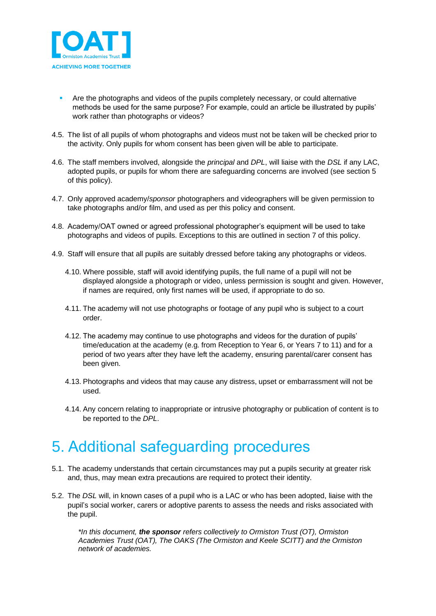

- Are the photographs and videos of the pupils completely necessary, or could alternative methods be used for the same purpose? For example, could an article be illustrated by pupils' work rather than photographs or videos?
- 4.5. The list of all pupils of whom photographs and videos must not be taken will be checked prior to the activity. Only pupils for whom consent has been given will be able to participate.
- 4.6. The staff members involved, alongside the *principal* and *DPL*, will liaise with the *DSL* if any LAC, adopted pupils, or pupils for whom there are safeguarding concerns are involved (see section 5 of this policy).
- 4.7. Only approved academy/*sponsor* photographers and videographers will be given permission to take photographs and/or film, and used as per this policy and consent.
- 4.8. Academy/OAT owned or agreed professional photographer's equipment will be used to take photographs and videos of pupils. Exceptions to this are outlined in section 7 of this policy.
- 4.9. Staff will ensure that all pupils are suitably dressed before taking any photographs or videos.
	- 4.10. Where possible, staff will avoid identifying pupils, the full name of a pupil will not be displayed alongside a photograph or video, unless permission is sought and given. However, if names are required, only first names will be used, if appropriate to do so.
	- 4.11. The academy will not use photographs or footage of any pupil who is subject to a court order.
	- 4.12. The academy may continue to use photographs and videos for the duration of pupils' time/education at the academy (e.g. from Reception to Year 6, or Years 7 to 11) and for a period of two years after they have left the academy, ensuring parental/carer consent has been given.
	- 4.13. Photographs and videos that may cause any distress, upset or embarrassment will not be used.
	- 4.14. Any concern relating to inappropriate or intrusive photography or publication of content is to be reported to the *DPL*.

#### <span id="page-6-0"></span>5. Additional safeguarding procedures

- 5.1. The academy understands that certain circumstances may put a pupils security at greater risk and, thus, may mean extra precautions are required to protect their identity.
- 5.2. The *DSL* will, in known cases of a pupil who is a LAC or who has been adopted, liaise with the pupil's social worker, carers or adoptive parents to assess the needs and risks associated with the pupil.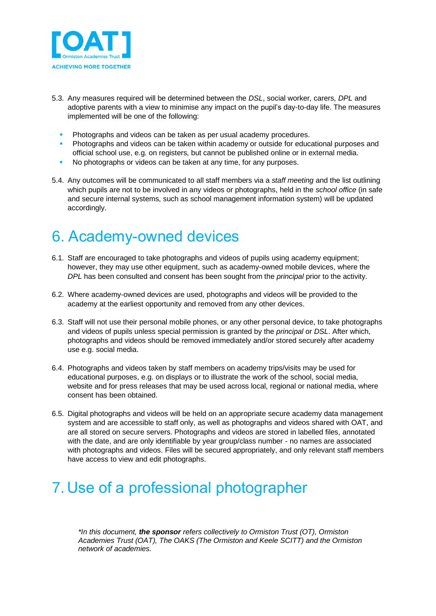

- 5.3. Any measures required will be determined between the *DSL*, social worker, carers, *DPL* and adoptive parents with a view to minimise any impact on the pupil's day-to-day life. The measures implemented will be one of the following:
	- Photographs and videos can be taken as per usual academy procedures.
	- **Photographs and videos can be taken within academy or outside for educational purposes and** official school use, e.g. on registers, but cannot be published online or in external media.
	- No photographs or videos can be taken at any time, for any purposes.
- 5.4. Any outcomes will be communicated to all staff members via a *staff meeting* and the list outlining which pupils are not to be involved in any videos or photographs, held in the *school office* (in safe and secure internal systems, such as school management information system) will be updated accordingly.

#### <span id="page-7-0"></span>6. Academy-owned devices

- 6.1. Staff are encouraged to take photographs and videos of pupils using academy equipment; however, they may use other equipment, such as academy-owned mobile devices, where the *DPL* has been consulted and consent has been sought from the *principal* prior to the activity.
- 6.2. Where academy-owned devices are used, photographs and videos will be provided to the academy at the earliest opportunity and removed from any other devices.
- 6.3. Staff will not use their personal mobile phones, or any other personal device, to take photographs and videos of pupils unless special permission is granted by the *principal* or *DSL*. After which, photographs and videos should be removed immediately and/or stored securely after academy use e.g. social media.
- 6.4. Photographs and videos taken by staff members on academy trips/visits may be used for educational purposes, e.g. on displays or to illustrate the work of the school, social media, website and for press releases that may be used across local, regional or national media, where consent has been obtained.
- 6.5. Digital photographs and videos will be held on an appropriate secure academy data management system and are accessible to staff only, as well as photographs and videos shared with OAT, and are all stored on secure servers. Photographs and videos are stored in labelled files, annotated with the date, and are only identifiable by year group/class number - no names are associated with photographs and videos. Files will be secured appropriately, and only relevant staff members have access to view and edit photographs.

# <span id="page-7-1"></span>7. Use of a professional photographer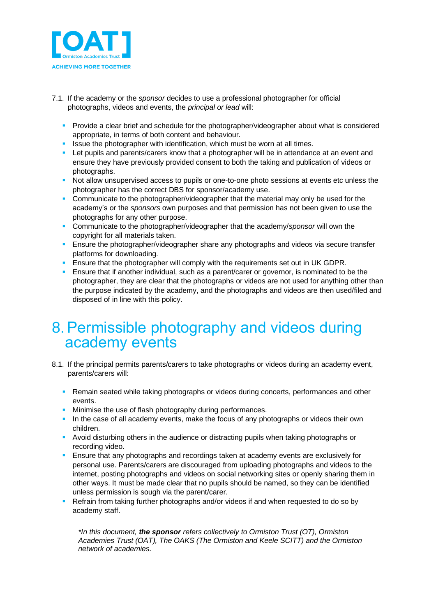

- 7.1. If the academy or the *sponsor* decides to use a professional photographer for official photographs, videos and events, the *principal or lead* will:
	- Provide a clear brief and schedule for the photographer/videographer about what is considered appropriate, in terms of both content and behaviour.
	- **EXECT** Issue the photographer with identification, which must be worn at all times.
	- **EXTER 1** Let pupils and parents/carers know that a photographer will be in attendance at an event and ensure they have previously provided consent to both the taking and publication of videos or photographs.
	- **•** Not allow unsupervised access to pupils or one-to-one photo sessions at events etc unless the photographer has the correct DBS for sponsor/academy use.
	- Communicate to the photographer/videographer that the material may only be used for the academy's or the *sponsors* own purposes and that permission has not been given to use the photographs for any other purpose.
	- Communicate to the photographer/videographer that the academy/*sponsor* will own the copyright for all materials taken.
	- **E** Ensure the photographer/videographer share any photographs and videos via secure transfer platforms for downloading.
	- **E** Ensure that the photographer will comply with the requirements set out in UK GDPR.
	- **E** Ensure that if another individual, such as a parent/carer or governor, is nominated to be the photographer, they are clear that the photographs or videos are not used for anything other than the purpose indicated by the academy, and the photographs and videos are then used/filed and disposed of in line with this policy.

#### <span id="page-8-0"></span>8.Permissible photography and videos during academy events

- 8.1. If the principal permits parents/carers to take photographs or videos during an academy event, parents/carers will:
	- **Remain seated while taking photographs or videos during concerts, performances and other** events.
	- **EXEDENT** Minimise the use of flash photography during performances.
	- **.** In the case of all academy events, make the focus of any photographs or videos their own children.
	- Avoid disturbing others in the audience or distracting pupils when taking photographs or recording video.
	- **E** Ensure that any photographs and recordings taken at academy events are exclusively for personal use. Parents/carers are discouraged from uploading photographs and videos to the internet, posting photographs and videos on social networking sites or openly sharing them in other ways. It must be made clear that no pupils should be named, so they can be identified unless permission is sough via the parent/carer.
	- Refrain from taking further photographs and/or videos if and when requested to do so by academy staff.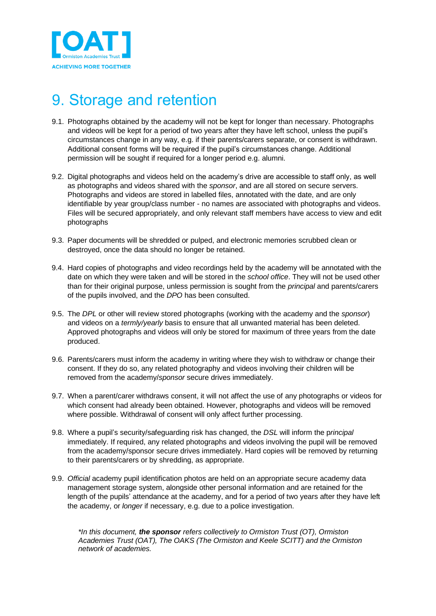

#### <span id="page-9-0"></span>9. Storage and retention

- 9.1. Photographs obtained by the academy will not be kept for longer than necessary. Photographs and videos will be kept for a period of two years after they have left school, unless the pupil's circumstances change in any way, e.g. if their parents/carers separate, or consent is withdrawn. Additional consent forms will be required if the pupil's circumstances change. Additional permission will be sought if required for a longer period e.g. alumni.
- 9.2. Digital photographs and videos held on the academy's drive are accessible to staff only, as well as photographs and videos shared with the *sponsor*, and are all stored on secure servers. Photographs and videos are stored in labelled files, annotated with the date, and are only identifiable by year group/class number - no names are associated with photographs and videos. Files will be secured appropriately, and only relevant staff members have access to view and edit photographs
- 9.3. Paper documents will be shredded or pulped, and electronic memories scrubbed clean or destroyed, once the data should no longer be retained.
- 9.4. Hard copies of photographs and video recordings held by the academy will be annotated with the date on which they were taken and will be stored in the *school office*. They will not be used other than for their original purpose, unless permission is sought from the *principal* and parents/carers of the pupils involved, and the *DPO* has been consulted.
- 9.5. The *DPL* or other will review stored photographs (working with the academy and the *sponsor*) and videos on a *termly/yearly* basis to ensure that all unwanted material has been deleted. Approved photographs and videos will only be stored for maximum of three years from the date produced.
- 9.6. Parents/carers must inform the academy in writing where they wish to withdraw or change their consent. If they do so, any related photography and videos involving their children will be removed from the academy/*sponsor* secure drives immediately.
- 9.7. When a parent/carer withdraws consent, it will not affect the use of any photographs or videos for which consent had already been obtained. However, photographs and videos will be removed where possible. Withdrawal of consent will only affect further processing.
- 9.8. Where a pupil's security/safeguarding risk has changed, the *DSL* will inform the p*rincipal* immediately. If required, any related photographs and videos involving the pupil will be removed from the academy/sponsor secure drives immediately. Hard copies will be removed by returning to their parents/carers or by shredding, as appropriate.
- 9.9. *Official* academy pupil identification photos are held on an appropriate secure academy data management storage system, alongside other personal information and are retained for the length of the pupils' attendance at the academy, and for a period of two years after they have left the academy, or *longer* if necessary, e.g. due to a police investigation.